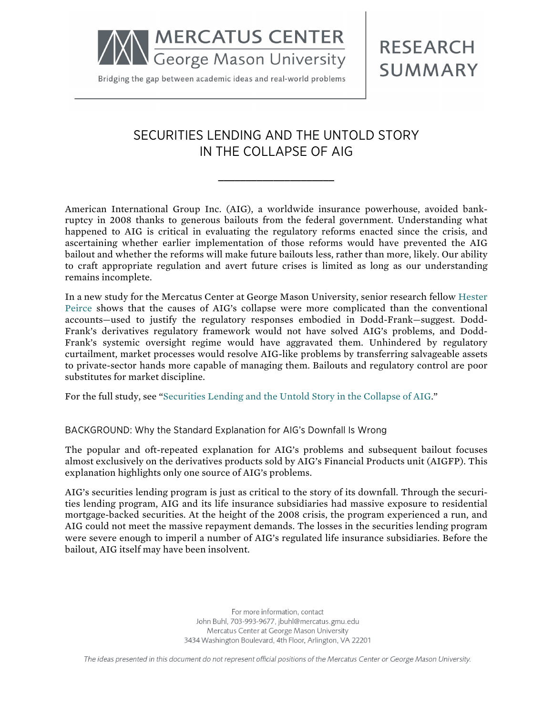**MERCATUS CENTER** George Mason University

Bridging the gap between academic ideas and real-world problems

**RESEARCH SUMMARY** 

## SECURITIES LENDING AND THE UNTOLD STORY IN THE COLLAPSE OF AIG

**\_\_\_\_\_\_\_\_\_\_\_\_\_\_\_\_\_\_\_\_\_**

American International Group Inc. (AIG), a worldwide insurance powerhouse, avoided bankruptcy in 2008 thanks to generous bailouts from the federal government. Understanding what happened to AIG is critical in evaluating the regulatory reforms enacted since the crisis, and ascertaining whether earlier implementation of those reforms would have prevented the AIG bailout and whether the reforms will make future bailouts less, rather than more, likely. Our ability to craft appropriate regulation and avert future crises is limited as long as our understanding remains incomplete.

In a new study for the Mercatus Center at George Mason University, senior research fellow [Hester](http://mercatus.org/hester-peirce)  [Peirce](http://mercatus.org/hester-peirce) shows that the causes of AIG's collapse were more complicated than the conventional accounts—used to justify the regulatory responses embodied in Dodd-Frank—suggest. Dodd-Frank's derivatives regulatory framework would not have solved AIG's problems, and Dodd-Frank's systemic oversight regime would have aggravated them. Unhindered by regulatory curtailment, market processes would resolve AIG-like problems by transferring salvageable assets to private-sector hands more capable of managing them. Bailouts and regulatory control are poor substitutes for market discipline.

For the full study, see "[Securities Lending and the Untold Story in the Collapse of AIG](http://mercatus.org/publication/securities-lending-and-untold-story-collapse-aig)."

BACKGROUND: Why the Standard Explanation for AIG's Downfall Is Wrong

The popular and oft-repeated explanation for AIG's problems and subsequent bailout focuses almost exclusively on the derivatives products sold by AIG's Financial Products unit (AIGFP). This explanation highlights only one source of AIG's problems.

AIG's securities lending program is just as critical to the story of its downfall. Through the securities lending program, AIG and its life insurance subsidiaries had massive exposure to residential mortgage-backed securities. At the height of the 2008 crisis, the program experienced a run, and AIG could not meet the massive repayment demands. The losses in the securities lending program were severe enough to imperil a number of AIG's regulated life insurance subsidiaries. Before the bailout, AIG itself may have been insolvent.

> For more information, contact John Buhl, 703-993-9677, jbuhl@mercatus.gmu.edu Mercatus Center at George Mason University 3434 Washington Boulevard, 4th Floor, Arlington, VA 22201

The ideas presented in this document do not represent official positions of the Mercatus Center or George Mason University.